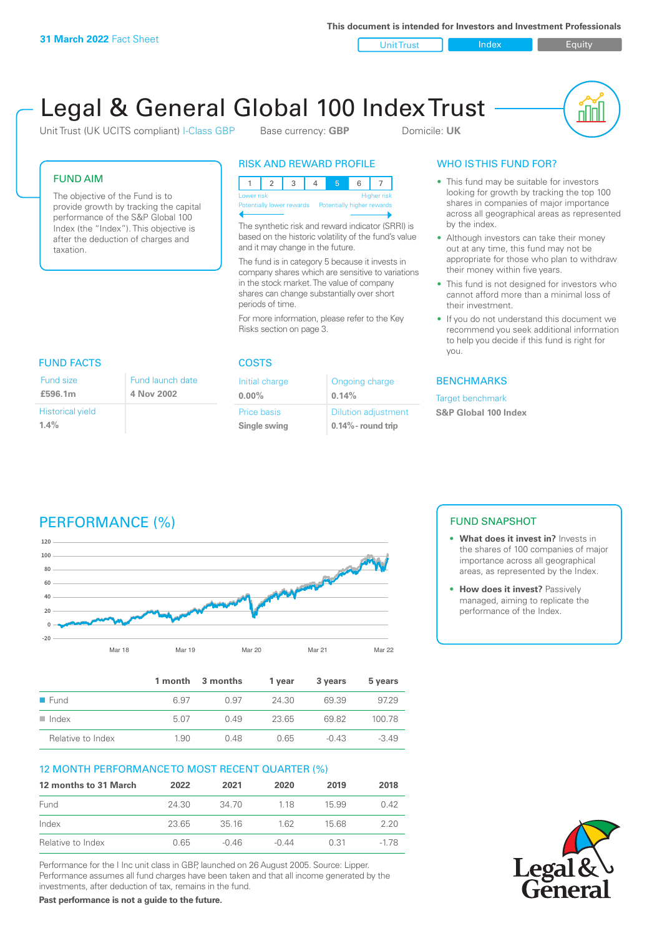**This document is intended for Investors and Investment Professionals**

Unit Trust **Index** Index Equity



# Legal & General Global 100 Index Trust

Unit Trust (UK UCITS compliant) I-Class GBP Base currency: **GBP** Domicile: UK

# FUND AIM

The objective of the Fund is to provide growth by tracking the capital performance of the S&P Global 100 Index (the "Index"). This objective is after the deduction of charges and taxation.

# RISK AND REWARD PROFILE

|                           | Lower risk |  |  |  | Higher risk                |
|---------------------------|------------|--|--|--|----------------------------|
| Potentially lower rewards |            |  |  |  | Potentially higher rewards |
|                           |            |  |  |  |                            |

The synthetic risk and reward indicator (SRRI) is based on the historic volatility of the fund's value and it may change in the future.

The fund is in category 5 because it invests in company shares which are sensitive to variations in the stock market. The value of company shares can change substantially over short periods of time.

For more information, please refer to the Key Risks section on page 3.

| <b>FUND FACTS</b>       |                  |
|-------------------------|------------------|
| Fund size               | Fund launch date |
| £596.1m                 | 4 Nov 2002       |
| <b>Historical yield</b> |                  |
| $1.4\%$                 |                  |

### COSTS

| Initial charge | Ongoing charge             |
|----------------|----------------------------|
| $0.00\%$       | 0.14%                      |
| Price basis    | <b>Dilution adjustment</b> |
| Single swing   | $0.14\%$ - round trip      |

# WHO IS THIS FUND FOR?

- This fund may be suitable for investors looking for growth by tracking the top 100 shares in companies of major importance across all geographical areas as represented by the index.
- Although investors can take their money out at any time, this fund may not be appropriate for those who plan to withdraw their money within five years.
- This fund is not designed for investors who cannot afford more than a minimal loss of their investment.
- If you do not understand this document we recommend you seek additional information to help you decide if this fund is right for you.

# **BENCHMARKS**

Target benchmark

**S&P Global 100 Index**

# PERFORMANCE (%)



|                      |      | 1 month 3 months | 1 vear | 3 years | 5 years |
|----------------------|------|------------------|--------|---------|---------|
| $\blacksquare$ Fund  | 6.97 | O 97             | 24.30  | 69.39   | 97.29   |
| $\blacksquare$ Index | 5.07 | 0.49             | 23.65  | 6982    | 100.78  |
| Relative to Index    | 1.90 | 0.48             | 0.65   | $-0.43$ | $-3.49$ |

# 12 MONTH PERFORMANCE TO MOST RECENT QUARTER (%)

| 12 months to 31 March | 2022  | 2021    | 2020  | 2019  | 2018 |
|-----------------------|-------|---------|-------|-------|------|
| Fund                  | 24.30 | 34 70   | 118   | 15.99 | O 42 |
| Index                 | 23.65 | 3516    | 162   | 15.68 | 220  |
| Relative to Index     | 0.65  | $-0.46$ | -0 44 | 0.31  | -178 |

Performance for the I Inc unit class in GBP, launched on 26 August 2005. Source: Lipper. Performance assumes all fund charges have been taken and that all income generated by the investments, after deduction of tax, remains in the fund.

**Past performance is not a guide to the future.**

# FUND SNAPSHOT

- **• What does it invest in?** Invests in the shares of 100 companies of major importance across all geographical areas, as represented by the Index.
- **• How does it invest?** Passively managed, aiming to replicate the performance of the Index.

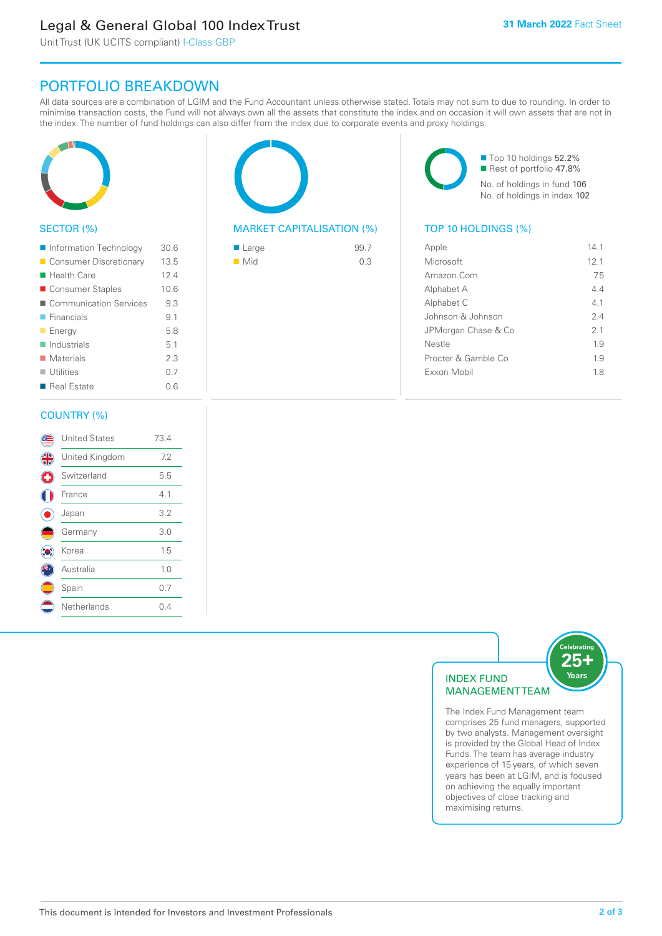# Legal & General Global 100 Index Trust

Unit Trust (UK UCITS compliant) I-Class GBP

# PORTFOLIO BREAKDOWN

All data sources are a combination of LGIM and the Fund Accountant unless otherwise stated. Totals may not sum to due to rounding. In order to minimise transaction costs, the Fund will not always own all the assets that constitute the index and on occasion it will own assets that are not in the index. The number of fund holdings can also differ from the index due to corporate events and proxy holdings.



# SECTOR (%)

| Information Technology     | 30.6 |
|----------------------------|------|
| ■ Consumer Discretionary   | 13.5 |
| ■ Health Care              | 12.4 |
| ■ Consumer Staples         | 10.6 |
| ■ Communication Services   | 9.3  |
| $\blacksquare$ Financials  | 9.1  |
| <b>Energy</b>              | 5.8  |
| $\blacksquare$ Industrials | 5.1  |
| $\blacksquare$ Materials   | 2.3  |
| $\blacksquare$ Utilities   | 0.7  |
| Real Estate                | 0.6  |
|                            |      |

# MARKET CAPITALISATION (%) TOP 10 HOLDINGS (%)

| $\blacksquare$ Large | 99.7 |
|----------------------|------|
| $\blacksquare$ Mid   | 0.3  |

■ Top 10 holdings 52.2% Rest of portfolio 47.8% No. of holdings in fund 106 No. of holdings in index 102

| Apple               | 141  |
|---------------------|------|
| Microsoft           | 12.1 |
| Amazon Com          | 75   |
| Alphabet A          | 44   |
| Alphabet C          | 4.1  |
| Johnson & Johnson   | 2.4  |
| JPMorgan Chase & Co | 2.1  |
| Nestle              | 19   |
| Procter & Gamble Co | 1.9  |
| Exxon Mobil         | 18   |
|                     |      |

### COUNTRY (%)

|   | <b>United States</b> | 73.4 |  |
|---|----------------------|------|--|
| 4 | United Kingdom       | 7.2  |  |
| G | Switzerland          | 5.5  |  |
|   | France               | 4.1  |  |
|   | Japan                | 3.2  |  |
|   | Germany              | 3.0  |  |
|   | Korea                | 1.5  |  |
|   | Australia            | 1.0  |  |
|   | Spain                | 0.7  |  |
|   | Netherlands          | 0.4  |  |
|   |                      |      |  |



comprises 25 fund managers, supported by two analysts. Management oversight is provided by the Global Head of Index Funds. The team has average industry experience of 15 years, of which seven years has been at LGIM, and is focused on achieving the equally important objectives of close tracking and maximising returns.